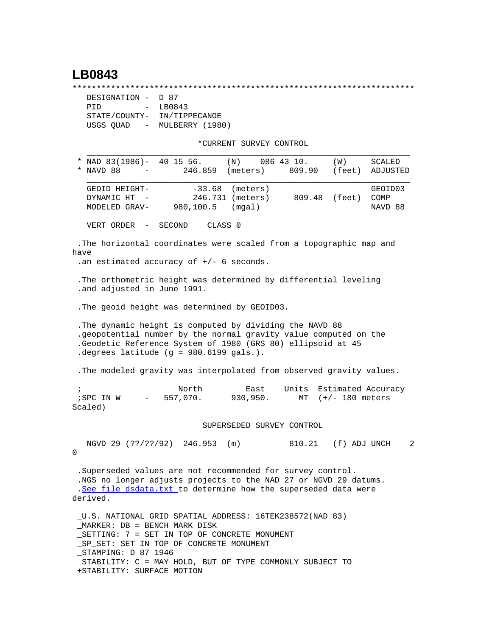## **LB0843**

\*\*\*\*\*\*\*\*\*\*\*\*\*\*\*\*\*\*\*\*\*\*\*\*\*\*\*\*\*\*\*\*\*\*\*\*\*\*\*\*\*\*\*\*\*\*\*\*\*\*\*\*\*\*\*\*\*\*\*\*\*\*\*\*\*\*\*\*\*\*\*

| DESIGNATION - D 87                    |                             |  |
|---------------------------------------|-----------------------------|--|
| PTD                                   | LB0843<br>$\sim$ 100 $\sim$ |  |
| STATE/COUNTY-                         | IN/TIPPECANOE               |  |
| USGS OUAD<br>$\alpha_{\rm{max}}=0.01$ | MULBERRY (1980)             |  |

\*CURRENT SURVEY CONTROL

| * NAD $83(1986)$ - 40 15 56.<br>* NAVD 88                                                                                                                                                                                              |                  | $(N)$ 086 43 10.<br>246.859 (meters)  | 809.90                         | (W)                 | <b>SCALED</b><br>(feet) ADJUSTED |
|----------------------------------------------------------------------------------------------------------------------------------------------------------------------------------------------------------------------------------------|------------------|---------------------------------------|--------------------------------|---------------------|----------------------------------|
| GEOID HEIGHT-<br>DYNAMIC HT -<br>MODELED GRAV-                                                                                                                                                                                         | 980,100.5 (mgal) | $-33.68$ (meters)<br>246.731 (meters) | 809.48 (feet)                  |                     | GEOID03<br>COMP<br>NAVD 88       |
| VERT ORDER - SECOND                                                                                                                                                                                                                    |                  | CLASS <sub>0</sub>                    |                                |                     |                                  |
| .The horizontal coordinates were scaled from a topographic map and<br>have<br>.an estimated accuracy of $+/-$ 6 seconds.                                                                                                               |                  |                                       |                                |                     |                                  |
| . The orthometric height was determined by differential leveling<br>.and adjusted in June 1991.                                                                                                                                        |                  |                                       |                                |                     |                                  |
| . The geoid height was determined by GEOID03.                                                                                                                                                                                          |                  |                                       |                                |                     |                                  |
| . The dynamic height is computed by dividing the NAVD 88<br>.geopotential number by the normal gravity value computed on the<br>.Geodetic Reference System of 1980 (GRS 80) ellipsoid at 45<br>.degrees latitude (g = 980.6199 gals.). |                  |                                       |                                |                     |                                  |
| . The modeled gravity was interpolated from observed gravity values.                                                                                                                                                                   |                  |                                       |                                |                     |                                  |
| $\ddot{i}$<br>$i$ SPC IN W $-$ 557,070. 930,950.<br>Scaled)                                                                                                                                                                            | North            | East                                  | Units Estimated Accuracy<br>MT | $(+/- 180$ meters   |                                  |
|                                                                                                                                                                                                                                        |                  | SUPERSEDED SURVEY CONTROL             |                                |                     |                                  |
| NGVD 29 (??/??/92) 246.953 (m)<br>$\mathbf 0$                                                                                                                                                                                          |                  |                                       |                                | 810.21 (f) ADJ UNCH | $\overline{2}$                   |
| . Superseded values are not recommended for survey control.                                                                                                                                                                            |                  |                                       |                                |                     |                                  |

 .NGS no longer adjusts projects to the NAD 27 or NGVD 29 datums. .[See file dsdata.txt](http://www.ngs.noaa.gov/cgi-bin/ds_lookup.prl?Item=HOW_SUP_DET) to determine how the superseded data were derived.

 \_U.S. NATIONAL GRID SPATIAL ADDRESS: 16TEK238572(NAD 83) \_MARKER: DB = BENCH MARK DISK \_SETTING: 7 = SET IN TOP OF CONCRETE MONUMENT \_SP\_SET: SET IN TOP OF CONCRETE MONUMENT \_STAMPING: D 87 1946 \_STABILITY: C = MAY HOLD, BUT OF TYPE COMMONLY SUBJECT TO +STABILITY: SURFACE MOTION